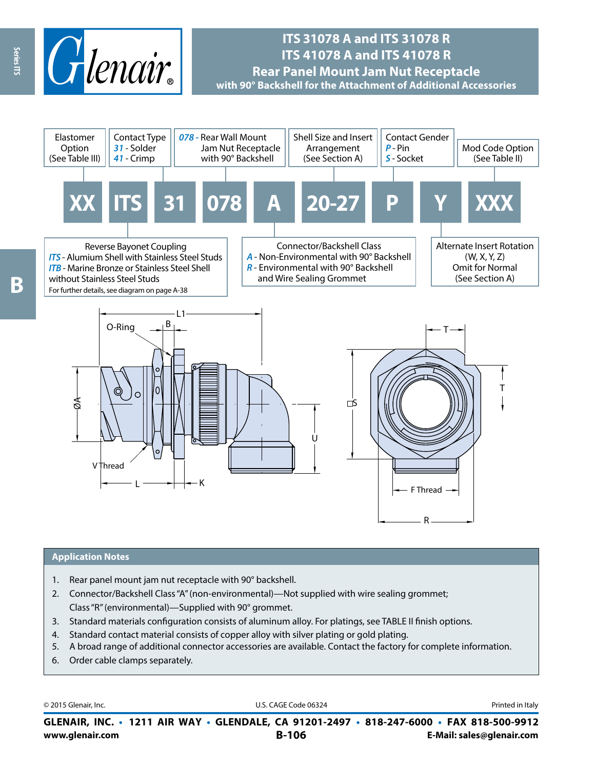

# **ITS 31078 A and ITS 31078 R ITS 41078 A and ITS 41078 R**

**Rear Panel Mount Jam Nut Receptacle with 90° Backshell for the Attachment of Additional Accessories**



#### **Application Notes**

- 1. Rear panel mount jam nut receptacle with 90° backshell.
- 2. Connector/Backshell Class "A" (non-environmental)—Not supplied with wire sealing grommet; Class "R" (environmental)—Supplied with 90° grommet.
- 3. Standard materials configuration consists of aluminum alloy. For platings, see TABLE II finish options.
- 4. Standard contact material consists of copper alloy with silver plating or gold plating.
- 5. A broad range of additional connector accessories are available. Contact the factory for complete information.
- 6. Order cable clamps separately.

© 2015 Glenair, Inc. **Discription Construction Construction Construction Construction Construction Construction Construction Construction Construction Construction Construction Construction Construction Construction Constr** 

**www.glenair.com B-106 E-Mail: sales@glenair.com GLENAIR, INC. • 1211 AIR WAY • GLENDALE, CA 91201-2497 • 818-247-6000 • FAX 818-500-9912**

Series ITS